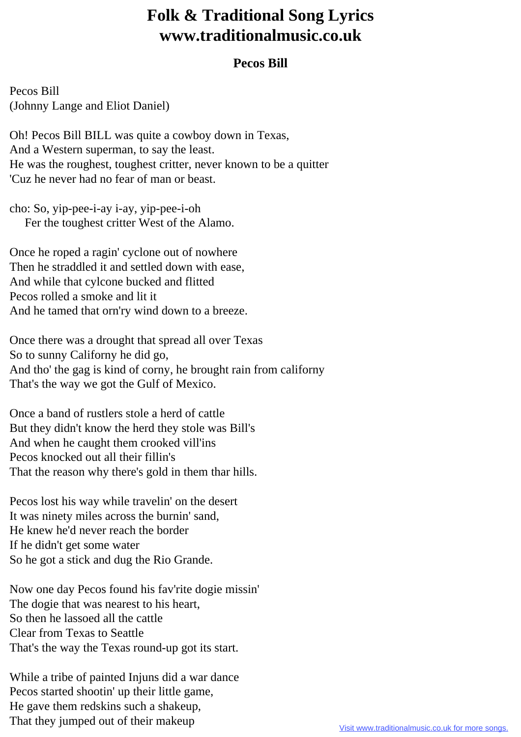## **Folk & Traditional Song Lyrics www.traditionalmusic.co.uk**

## **Pecos Bill**

Pecos Bill (Johnny Lange and Eliot Daniel)

Oh! Pecos Bill BILL was quite a cowboy down in Texas, And a Western superman, to say the least. He was the roughest, toughest critter, never known to be a quitter 'Cuz he never had no fear of man or beast.

cho: So, yip-pee-i-ay i-ay, yip-pee-i-oh Fer the toughest critter West of the Alamo.

Once he roped a ragin' cyclone out of nowhere Then he straddled it and settled down with ease, And while that cylcone bucked and flitted Pecos rolled a smoke and lit it And he tamed that orn'ry wind down to a breeze.

Once there was a drought that spread all over Texas So to sunny Californy he did go, And tho' the gag is kind of corny, he brought rain from californy That's the way we got the Gulf of Mexico.

Once a band of rustlers stole a herd of cattle But they didn't know the herd they stole was Bill's And when he caught them crooked vill'ins Pecos knocked out all their fillin's That the reason why there's gold in them thar hills.

Pecos lost his way while travelin' on the desert It was ninety miles across the burnin' sand, He knew he'd never reach the border If he didn't get some water So he got a stick and dug the Rio Grande.

Now one day Pecos found his fav'rite dogie missin' The dogie that was nearest to his heart, So then he lassoed all the cattle Clear from Texas to Seattle That's the way the Texas round-up got its start.

While a tribe of painted Injuns did a war dance Pecos started shootin' up their little game, He gave them redskins such a shakeup, That they jumped out of their makeup